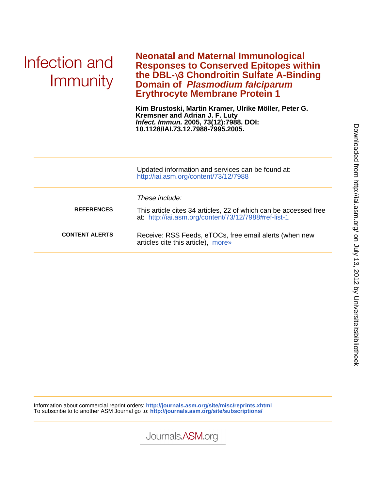# Infection and Immunity

**Erythrocyte Membrane Protein 1 Domain of Plasmodium falciparum the DBL-**γ**3 Chondroitin Sulfate A-Binding Responses to Conserved Epitopes within Neonatal and Maternal Immunological**

**10.1128/IAI.73.12.7988-7995.2005. Infect. Immun. 2005, 73(12):7988. DOI: Kremsner and Adrian J. F. Luty Kim Brustoski, Martin Kramer, Ulrike Möller, Peter G.**

|                       | Updated information and services can be found at:<br>http://iai.asm.org/content/73/12/7988                                                 |
|-----------------------|--------------------------------------------------------------------------------------------------------------------------------------------|
| <b>REFERENCES</b>     | These include:<br>This article cites 34 articles, 22 of which can be accessed free<br>at: http://iai.asm.org/content/73/12/7988#ref-list-1 |
| <b>CONTENT ALERTS</b> | Receive: RSS Feeds, eTOCs, free email alerts (when new<br>articles cite this article), more»                                               |

Information about commercial reprint orders: **http://journals.asm.org/site/misc/reprints.xhtml** To subscribe to to another ASM Journal go to: **http://journals.asm.org/site/subscriptions/**

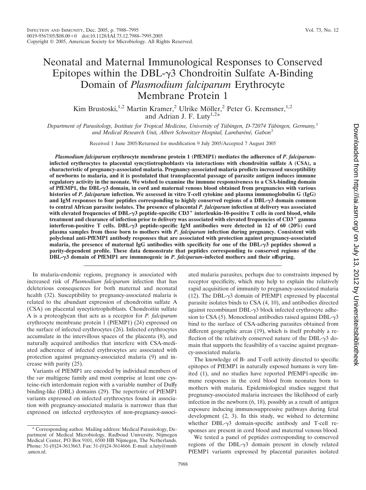## Neonatal and Maternal Immunological Responses to Conserved Epitopes within the DBL- $\gamma$ 3 Chondroitin Sulfate A-Binding Domain of *Plasmodium falciparum* Erythrocyte Membrane Protein 1

Kim Brustoski,<sup>1,2</sup> Martin Kramer,<sup>2</sup> Ulrike Möller,<sup>2</sup> Peter G. Kremsner,<sup>1,2</sup> and Adrian J. F. Luty<sup>1,2\*</sup>

*Department of Parasitology, Institute for Tropical Medicine, University of Tübingen, D-72074 Tübingen, Germany,*<sup>1</sup> and Medical Research Unit, Albert Schweitzer Hospital, Lambaréné, Gabon<sup>2</sup>

Received 1 June 2005/Returned for modification 9 July 2005/Accepted 7 August 2005

*Plasmodium falciparum* **erythrocyte membrane protein 1 (PfEMP1) mediates the adherence of** *P. falciparum***infected erythrocytes to placental syncytiotrophoblasts via interactions with chondroitin sulfate A (CSA), a characteristic of pregnancy-associated malaria. Pregnancy-associated malaria predicts increased susceptibility of newborns to malaria, and it is postulated that transplacental passage of parasite antigen induces immune regulatory activity in the neonate. We wished to examine the immune responsiveness to a CSA-binding domain of PfEMP1, the DBL-3 domain, in cord and maternal venous blood obtained from pregnancies with various histories of** *P. falciparum* **infection. We assessed in vitro T-cell cytokine and plasma immunoglobulin G (IgG) and IgM responses to four peptides corresponding to highly conserved regions of a DBL-3 domain common to central African parasite isolates. The presence of placental** *P. falciparum* **infection at delivery was associated with elevated frequencies of DBL-3 peptide-specific CD3**- **interleukin-10-positive T cells in cord blood, while treatment and clearance of infection prior to delivery was associated with elevated frequencies of CD3**- **gamma interferon-positive T cells. DBL-3 peptide-specific IgM antibodies were detected in 12 of 60 (20%) cord plasma samples from those born to mothers with** *P. falciparum* **infection during pregnancy. Consistent with polyclonal anti-PfEMP1 antibody responses that are associated with protection against pregnancy-associated malaria, the presence of maternal IgG antibodies with specificity for one of the DBL-3 peptides showed a parity-dependent profile. These data demonstrate that peptides corresponding to conserved regions of the DBL-3 domain of PfEMP1 are immunogenic in** *P. falciparum***-infected mothers and their offspring.**

In malaria-endemic regions, pregnancy is associated with increased risk of *Plasmodium falciparum* infection that has deleterious consequences for both maternal and neonatal health (32). Susceptibility to pregnancy-associated malaria is related to the abundant expression of chondroitin sulfate A (CSA) on placental syncytiotrophoblasts. Chondroitin sulfate A is a proteoglycan that acts as a receptor for *P. falciparum* erythrocyte membrane protein 1 (PfEMP1) (24) expressed on the surface of infected erythrocytes (26). Infected erythrocytes accumulate in the intervillous spaces of the placenta (8), and naturally acquired antibodies that interfere with CSA-mediated adherence of infected erythrocytes are associated with protection against pregnancy-associated malaria (9) and increase with parity (25).

Variants of PfEMP1 are encoded by individual members of the *var* multigene family and most comprise at least one cysteine-rich interdomain region with a variable number of Duffy binding-like (DBL) domains (29). The repertoire of PfEMP1 variants expressed on infected erythrocytes found in association with pregnancy-associated malaria is narrower than that expressed on infected erythrocytes of non-pregnancy-associ-

\* Corresponding author. Mailing address: Medical Parasitology, Department of Medical Microbiology, Radboud University, Nijmegen Medical Center, PO Box 9101, 6500 HB Nijmegen, The Netherlands. Phone: 31-(0)24-3613663. Fax: 31-(0)24-3614666. E-mail: a.luty@mmb .umcn.nl.

ated malaria parasites, perhaps due to constraints imposed by receptor specificity, which may help to explain the relatively rapid acquisition of immunity to pregnancy-associated malaria (12). The DBL- $\gamma$ 3 domain of PfEMP1 expressed by placental parasite isolates binds to CSA (4, 10), and antibodies directed against recombinant DBL- $\gamma$ 3 block infected erythrocyte adhesion to CSA  $(5)$ . Monoclonal antibodies raised against DBL- $\gamma$ 3 bind to the surface of CSA-adhering parasites obtained from different geographic areas (19), which is itself probably a reflection of the relatively conserved nature of the  $DBL-\gamma3$  domain that supports the feasibility of a vaccine against pregnancy-associated malaria.

The knowledge of B- and T-cell activity directed to specific epitopes of PfEMP1 in naturally exposed humans is very limited (1), and no studies have reported PfEMP1-specific immune responses in the cord blood from neonates born to mothers with malaria. Epidemiological studies suggest that pregnancy-associated malaria increases the likelihood of early infection in the newborn (6, 18), possibly as a result of antigen exposure inducing immunosuppressive pathways during fetal development (2, 3). In this study, we wished to determine whether  $DBL-\gamma3$  domain-specific antibody and T-cell responses are present in cord blood and maternal venous blood.

We tested a panel of peptides corresponding to conserved regions of the DBL- $\gamma$ 3 domain present in closely related PfEMP1 variants expressed by placental parasites isolated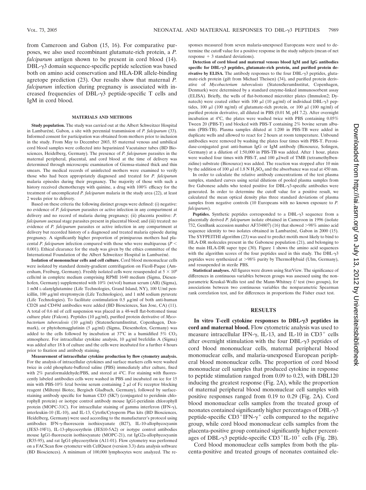from Cameroon and Gabon (15, 16). For comparative purposes, we also used recombinant glutamate-rich protein, a *P. falciparum* antigen shown to be present in cord blood (14).  $DBL-\gamma3$  domain sequence-specific peptide selection was based both on amino acid conservation and HLA-DR allele-binding agretope prediction (23). Our results show that maternal *P. falciparum* infection during pregnancy is associated with increased frequencies of DBL- $\gamma$ 3 peptide-specific T cells and IgM in cord blood.

#### **MATERIALS AND METHODS**

**Study population.** The study was carried out at the Albert Schweitzer Hospital in Lambaréné, Gabon, a site with perennial transmission of *P. falciparum* (33). Informed consent for participation was obtained from mothers prior to inclusion in the study. From May to December 2003, 85 maternal venous and umbilical cord blood samples were collected into heparinized Vacutainer tubes (BD Biosciences, Heidelberg, Germany). The presence of *P. falciparum* parasites in the maternal peripheral, placental, and cord blood at the time of delivery was determined through microscopic examination of Giemsa-stained thick and thin smears. The medical records of uninfected mothers were examined to verify those who had been appropriately diagnosed and treated for *P. falciparum* malaria episodes during their pregnancy. The majority of those with such a history received chemotherapy with quinine, a drug with 100% efficacy for the treatment of uncomplicated *P. falciparum* malaria in the study area (22), at least 2 weeks prior to delivery.

Based on these criteria the following distinct groups were defined: (i) negative: no evidence of *P. falciparum* parasites or active infection in any compartment at delivery and no record of malaria during pregnancy; (ii) placenta positive: *P. falciparum* asexual stage parasites present in placental blood; and (iii) treated: no evidence of *P. falciparum* parasites or active infection in any compartment at delivery but recorded history of a diagnosed and treated malaria episode during pregnancy. A significantly higher proportion of primiparous mothers had placental *P. falciparum* infection compared with those who were multiparous (*P* 0.001). Ethical clearance for the study was given by the ethics committee of the International Foundation of the Albert Schweitzer Hospital in Lambaréné.

**Isolation of mononuclear cells and cell culture.** Cord blood mononuclear cells were isolated by standard density-gradient centrifugation on Ficoll-Paque (Amersham, Freiburg, Germany). Freshly isolated cells were resuspended at  $5 \times 10^6$ cells/ml in complete medium comprising RPMI 1640 medium (Sigma, Diesenhofen, Germany) supplemented with 10% (wt/vol) human serum (AB) (Sigma), 1 mM L-alanylglutamine (Life Technologies, Grand Island, NY), 100 U/ml penicillin,  $100 \mu g/ml$  streptomycin (Life Technologies), and 1 mM sodium pyruvate (Life Technologies). To facilitate costimulation  $0.5 \mu g/ml$  of both anti-human CD28 and CD49d antibodies were added (BD Biosciences, San Jose, CA) (11). A total of 0.6 ml of cell suspension was placed in a 48-well flat-bottomed tissue culture plate (Falcon). Peptides (10  $\mu$ g/ml), purified protein derivative of *Myco*bacterium tuberculosis (10 µg/ml) (StatensSerumInstitut, Copenhagen, Denmark), or phytohemagglutinin (5 µg/ml) (Sigma, Diesenhofen, Germany) was added to the cells followed by incubation at 37°C in a humidified 5%  $CO<sub>2</sub>$ atmosphere. For intracellular cytokine analysis,  $10 \mu g/ml$  brefeldin A (Sigma) was added after 18 h of culture and the cells were incubated for a further 4 hours prior to fixation and antibody staining.

**Measurement of intracellular cytokine production by flow cytometry analysis.** For the analysis of intracellular cytokines and surface markers cells were washed twice in cold phosphate-buffered saline (PBS) immediately after culture, fixed with 2% paraformaldehyde/PBS, and stored at 4°C. For staining with fluorescently labeled antibodies cells were washed in PBS and incubated on ice for 15 min with PBS-10% fetal bovine serum containing  $2 \mu l$  of Fc receptor blocking reagent (Miltenyi Biotec, Bergisch Gladbach, Germany), followed by surfacestaining antibody specific for human CD3 (SK7) (conjugated to peridinin chlorophyll protein) or isotype control antibody mouse IgG1-peridinin chlorophyll protein (MOPC-31C). For intracellular staining of gamma interferon (IFN- $\gamma$ ), interleukin-10 (IL-10), and IL-13, Cytofix/Cytoperm Plus kits (BD Biosciences, Heidelberg, Germany) were used according to the manufacturer's protocol using antibodies IFN-y-fluorescein isothiocyanate (B27), IL-10-allophycocyanin (JES3-19F1), IL-13-phycoerythrin (JES10-5A2) or isotype control antibodies mouse IgG1-fluorescein isothiocyanate (MOPC-21), rat IgG2a-allophycocyanin (R35-95), and rat IgG1-phycoerythrin (A11-01). Flow cytometry was performed on a FACScan flow cytometer with CellQuest (version 3.3) data analysis software (BD Biosciences). A minimum of 100,000 lymphocytes were analyzed. The responses measured from seven malaria-unexposed Europeans were used to determine the cutoff value for a positive response in the study subjects (mean of net response  $+3$  standard deviations).

**Detection of cord blood and maternal venous blood IgM and IgG antibodies specific for DBL-3 peptides, glutamate-rich protein, and purified protein de**rivative by ELISA. The antibody responses to the four  $DBL-\gamma3$  peptides, glutamate-rich protein (gift from Michael Theisen) (34), and purified protein derivative of *Mycobacterium tuberculosis* (StatensSerumInstitut, Copenhagen, Denmark) were determined by a standard enzyme-linked immunosorbent assay (ELISA). Briefly, the wells of flat-bottomed microtiter plates (Immulon2; Dynatech) were coated either with 100  $\mu$ l (10  $\mu$ g/ml) of individual DBL- $\gamma$ 3 peptides, 100  $\mu$ l (100 ng/ml) of glutamate-rich protein, or 100  $\mu$ l (100 ng/ml) of purified protein derivative, all diluted in PBS (0.01 M, pH 7.2). After overnight incubation at 4°C, the plates were washed twice with PBS containing 0.05% Tween 20 (PBS-T) and blocked with PBS-T containing 2% bovine serum albumin (PBS-TB). Plasma samples diluted at 1:200 in PBS-TB were added in duplicate wells and allowed to react for 2 hours at room temperature. Unbound antibodies were removed by washing the plates four times with PBS-T. Peroxidase-conjugated goat anti-human IgG or IgM antibody (Biosource, Solingen, Germany) at a dilution of 1:50,000 in PBS-TB was added. After 1 hour, plates were washed four times with PBS-T, and  $100 \mu$ l/well of TMB (tetramethylbenzidine) substrate (Biosource) was added. The reaction was stopped after 10 min by the addition of 100  $\mu$ l of 1.8 N H<sub>2</sub>SO<sub>4</sub> and the absorbance was read at 450 nm.

In order to calculate the relative antibody concentrations of the test plasma samples, standard curves using serial dilutions of pooled plasma samples from five Gabonese adults who tested positive for  $DBL-\gamma3$ -specific antibodies were generated. In order to determine the cutoff value for a positive result, we calculated the mean optical density plus three standard deviations of plasma samples from negative controls (10 Europeans with no known exposure to *P. falciparum*).

**Peptides.** Synthetic peptides corresponded to a  $DBL-\gamma3$  sequence from a placentally derived *P. falciparum* isolate obtained in Cameroon in 1996 (isolate 732, GenBank accession number AF334807) (16) that showed  $>98\%$  amino acid sequence identity to two isolates obtained in Lambaréné. Gabon in  $2000$  (15). The SYFPEITHI algorithm (23) was used to predict motifs most likely to bind to HLA-DR molecules present in the Gabonese population (21), and belonging to the main HLA-DR super type (30). Figure 1 shows the amino acid sequences with the algorithm scores of the four peptides used in this study. The  $DBL-\gamma3$ peptides were synthesized at 98% purity by ThermoHybaid (Ulm, Germany), and resuspended in sterile PBS.

**Statistical analyses.** All figures were drawn using StatView. The significance of differences in continuous variables between groups was assessed using the nonparametric Kruskal-Wallis test and the Mann-Whitney *U* test (two groups), for associations between two continuous variables the nonparametric Spearman rank correlation test, and for differences in proportions the Fisher exact test.

#### **RESULTS**

**In vitro T-cell cytokine responses to DBL-3 peptides in cord and maternal blood.** Flow cytometric analysis was used to measure intracellular IFN- $\gamma$ , IL-13, and IL-10 in CD3<sup>+</sup> cells after overnight stimulation with the four  $DBL-\gamma3$  peptides of cord blood mononuclear cells, maternal peripheral blood mononuclear cells, and malaria-unexposed European peripheral blood mononuclear cells. The proportion of cord blood mononuclear cell samples that produced cytokine in response to peptide stimulation ranged from 0.09 to 0.23, with DBL120 inducing the greatest response (Fig. 2A), while the proportion of maternal peripheral blood mononuclear cell samples with positive responses ranged from 0.19 to 0.29 (Fig. 2A). Cord blood mononuclear cells samples from the treated group of neonates contained significantly higher percentages of  $DBL-\gamma3$ peptide-specific  $CD3^+$ IFN- $\gamma^+$  cells compared to the negative group, while cord blood mononuclear cells samples from the placenta-positive group contained significantly higher percentages of DBL- $\gamma$ 3 peptide-specific CD3<sup>+</sup>IL-10<sup>+</sup> cells (Fig. 2B).

Cord blood mononuclear cells samples from both the placenta-positive and treated groups of neonates contained ele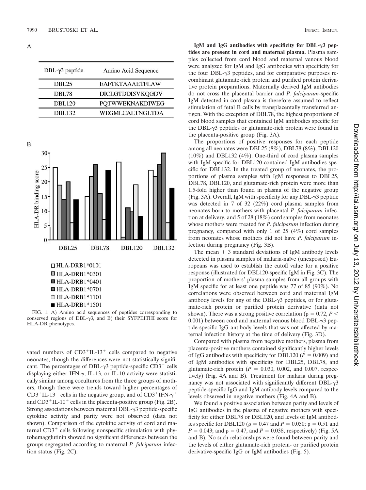A

| $DBL-\gamma3$ peptide | Amino Acid Sequence    |
|-----------------------|------------------------|
| <b>DBL25</b>          | <b>EAFTKTAAAETFLAW</b> |
| DBL78                 | DICLGTDDISVKQGDV       |
| <b>DBL120</b>         | <b>POTWWEKNAKDIWEG</b> |
| <b>DBL132</b>         | WEGMLCALTNGLTDA        |

B



 $HLA-DRB1*1501$ 

FIG. 1. A) Amino acid sequences of peptides corresponding to conserved regions of DBL- $\gamma$ 3, and B) their SYFPEITHI score for HLA-DR phenotypes.

vated numbers of  $CD3+IL-13+$  cells compared to negative neonates, though the differences were not statistically significant. The percentages of DBL- $\gamma$ 3 peptide-specific CD3<sup>+</sup> cells displaying either IFN- $\gamma$ , IL-13, or IL-10 activity were statistically similar among cocultures from the three groups of mothers, though there were trends toward higher percentages of CD3<sup>+</sup>IL-13<sup>+</sup> cells in the negative group, and of CD3<sup>+</sup>IFN- $\gamma$ <sup>+</sup> and  $CD3+IL-10+$  cells in the placenta-positive group (Fig. 2B). Strong associations between maternal DBL- $\gamma$ 3 peptide-specific cytokine activity and parity were not observed (data not shown). Comparison of the cytokine activity of cord and maternal  $CD3<sup>+</sup>$  cells following nonspecific stimulation with phytohemagglutinin showed no significant differences between the groups segregated according to maternal *P. falciparum* infection status (Fig. 2C).

**IgM and IgG antibodies with specificity for DBL-3 peptides are present in cord and maternal plasma.** Plasma samples collected from cord blood and maternal venous blood were analyzed for IgM and IgG antibodies with specificity for the four DBL- $\gamma$ 3 peptides, and for comparative purposes recombinant glutamate-rich protein and purified protein derivative protein preparations. Maternally derived IgM antibodies do not cross the placental barrier and *P. falciparum*-specific IgM detected in cord plasma is therefore assumed to reflect stimulation of fetal B cells by transplacentally transferred antigen. With the exception of DBL78, the highest proportions of cord blood samples that contained IgM antibodies specific for the DBL- $\gamma$ 3 peptides or glutamate-rich protein were found in the placenta-positive group (Fig. 3A).

The proportions of positive responses for each peptide among all neonates were DBL25 (8%), DBL78 (8%), DBL120 (10%) and DBL132 (4%). One-third of cord plasma samples with IgM specific for DBL120 contained IgM antibodies specific for DBL132. In the treated group of neonates, the proportions of plasma samples with IgM responses to DBL25, DBL78, DBL120, and glutamate-rich protein were more than 1.5-fold higher than found in plasma of the negative group (Fig. 3A). Overall, IgM with specificity for any  $DBL-\gamma3$  peptide was detected in 7 of 32 (22%) cord plasma samples from neonates born to mothers with placental *P. falciparum* infection at delivery, and 5 of 28 (18%) cord samples from neonates whose mothers were treated for *P. falciparum* infection during pregnancy, compared with only 1 of 25 (4%) cord samples from neonates whose mothers did not have *P. falciparum* infection during pregnancy (Fig. 3B).

The mean  $+3$  standard deviations of IgM antibody levels detected in plasma samples of malaria-naïve (unexposed) Europeans was used to establish the cutoff value for a positive response (illustrated for DBL120-specific IgM in Fig. 3C). The proportion of mothers' plasma samples from all groups with IgM specific for at least one peptide was 77 of 85 (90%). No correlations were observed between cord and maternal IgM antibody levels for any of the  $DBL-\gamma3$  peptides, or for glutamate-rich protein or purified protein derivative (data not shown). There was a strong positive correlation ( $\rho = 0.72, P <$  $0.001$ ) between cord and maternal venous blood DBL- $\gamma$ 3 peptide-specific IgG antibody levels that was not affected by maternal infection history at the time of delivery (Fig. 3D).

Compared with plasma from negative mothers, plasma from placenta-positive mothers contained significantly higher levels of IgG antibodies with specificity for DBL120 ( $P = 0.009$ ) and of IgM antibodies with specificity for DBL25, DBL78, and glutamate-rich protein  $(P = 0.030, 0.002,$  and 0.007, respectively) (Fig. 4A and B). Treatment for malaria during pregnancy was not associated with significantly different  $DBL-\gamma3$ peptide-specific IgG and IgM antibody levels compared to the levels observed in negative mothers (Fig. 4A and B).

We found a positive association between parity and levels of IgG antibodies in the plasma of negative mothers with specificity for either DBL78 or DBL120, and levels of IgM antibodies specific for DBL120 ( $\rho = 0.47$  and  $P = 0.050$ ;  $\rho = 0.51$  and  $P = 0.043$ ; and  $\rho = 0.47$ , and  $P = 0.038$ , respectively) (Fig. 5A) and B). No such relationships were found between parity and the levels of either glutamate-rich protein- or purified protein derivative-specific IgG or IgM antibodies (Fig. 5).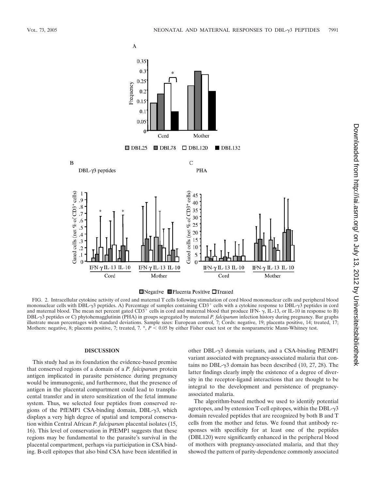



FIG. 2. Intracellular cytokine activity of cord and maternal T cells following stimulation of cord blood mononuclear cells and peripheral blood mononuclear cells with DBL- $\gamma$ 3 peptides. A) Percentage of samples containing CD3<sup>+</sup> cells with a cytokine response to DBL- $\gamma$ 3 peptides in cord and maternal blood. The mean net percent gated CD3<sup>+</sup> cells in cord and maternal blood that produce IFN-  $\gamma$ , IL-13, or IL-10 in response to B) DBL--3 peptides or C) phytohemagglutinin (PHA) in groups segregated by maternal *P. falciparum* infection history during pregnancy. Bar graphs illustrate mean percentages with standard deviations. Sample sizes: European control, 7; Cords: negative, 19; placenta positive, 14; treated, 17; Mothers: negative, 8; placenta positive, 7; treated, 7. \*,  $P < 0.05$  by either Fisher exact test or the nonparametric Mann-Whitney test.

### **DISCUSSION**

This study had as its foundation the evidence-based premise that conserved regions of a domain of a *P. falciparum* protein antigen implicated in parasite persistence during pregnancy would be immunogenic, and furthermore, that the presence of antigen in the placental compartment could lead to transplacental transfer and in utero sensitization of the fetal immune system. Thus, we selected four peptides from conserved regions of the PfEMP1 CSA-binding domain, DBL- $\gamma$ 3, which displays a very high degree of spatial and temporal conservation within Central African *P. falciparum* placental isolates (15, 16). This level of conservation in PfEMP1 suggests that these regions may be fundamental to the parasite's survival in the placental compartment, perhaps via participation in CSA binding. B-cell epitopes that also bind CSA have been identified in

other DBL--3 domain variants, and a CSA-binding PfEMP1 variant associated with pregnancy-associated malaria that contains no DBL- $\gamma$ 3 domain has been described (10, 27, 28). The latter findings clearly imply the existence of a degree of diversity in the receptor-ligand interactions that are thought to be integral to the development and persistence of pregnancyassociated malaria.

The algorithm-based method we used to identify potential agretopes, and by extension T-cell epitopes, within the DBL- $\gamma$ 3 domain revealed peptides that are recognized by both B and T cells from the mother and fetus. We found that antibody responses with specificity for at least one of the peptides (DBL120) were significantly enhanced in the peripheral blood of mothers with pregnancy-associated malaria, and that they showed the pattern of parity-dependence commonly associated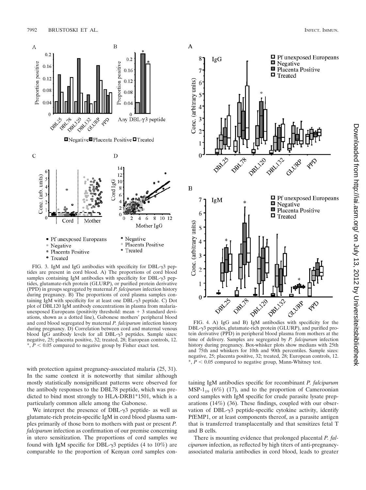

FIG. 3. IgM and IgG antibodies with specificity for  $DBL-\gamma3$  peptides are present in cord blood. A) The proportions of cord blood samples containing IgM antibodies with specificity for  $DBL-\gamma3$  peptides, glutamate-rich protein (GLURP), or purified protein derivative (PPD) in groups segregated by maternal *P. falciparum* infection history during pregnancy. B) The proportions of cord plasma samples containing IgM with specificity for at least one  $DBL-\gamma3$  peptide. C) Dot plot of DBL120 IgM antibody concentrations in plasma from malariaunexposed Europeans (positivity threshold: mean  $+3$  standard deviations, shown as a dotted line), Gabonese mothers' peripheral blood and cord blood segregated by maternal *P. falciparum* infection history during pregnancy. D) Correlation between cord and maternal venous blood IgG antibody levels for all  $DBL-\gamma3$  peptides. Sample sizes: negative, 25; placenta positive, 32; treated, 28; European controls, 12.  $*, P < 0.05$  compared to negative group by Fisher exact test.

with protection against pregnancy-associated malaria  $(25, 31)$ . In the same context it is noteworthy that similar although mostly statistically nonsignificant patterns were observed for the antibody responses to the DBL78 peptide, which was predicted to bind most strongly to HLA-DRB1\*1501, which is a particularly common allele among the Gabonese.

We interpret the presence of  $DBL-\gamma3$  peptide- as well as glutamate-rich protein-specific IgM in cord blood plasma samples primarily of those born to mothers with past or present *P. falciparum* infection as confirmation of our premise concerning in utero sensitization. The proportions of cord samples we found with IgM specific for DBL- $\gamma$ 3 peptides (4 to 10%) are comparable to the proportion of Kenyan cord samples con-



A

 $DBL-\gamma$ 3 peptides, glutamate-rich protein (GLURP), and purified protein derivative (PPD) in peripheral blood plasma from mothers at the time of delivery. Samples are segregated by *P. falciparum* infection history during pregnancy. Box-whisker plots show medians with 25th and 75th and whiskers for 10th and 90th percentiles. Sample sizes: negative, 25; placenta positive, 32; treated, 28; European controls, 12.  $*, P < 0.05$  compared to negative group, Mann-Whitney test.

taining IgM antibodies specific for recombinant *P. falciparum* MSP-1<sub>19</sub> (6%) (17), and to the proportion of Cameroonian cord samples with IgM specific for crude parasite lysate preparations (14%) (36). These findings, coupled with our observation of DBL- $\gamma$ 3 peptide-specific cytokine activity, identify PfEMP1, or at least components thereof, as a parasite antigen that is transferred transplacentally and that sensitizes fetal T and B cells.

There is mounting evidence that prolonged placental *P. falciparum* infection, as reflected by high titers of anti-pregnancyassociated malaria antibodies in cord blood, leads to greater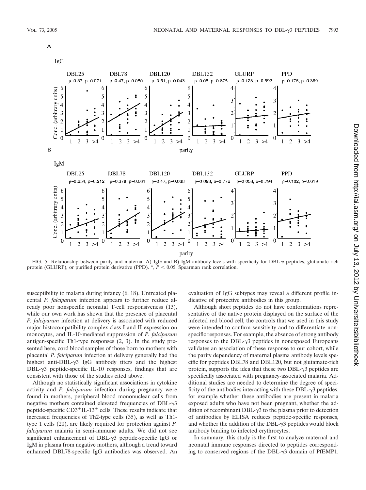

IgG



FIG. 5. Relationship between parity and maternal A) IgG and B) IgM antibody levels with specificity for DBL- $\gamma$  peptides, glutamate-rich protein (GLURP), or purified protein derivative (PPD).  $^*, P < 0.05$ . Spearman rank correlation.

susceptibility to malaria during infancy (6, 18). Untreated placental *P. falciparum* infection appears to further reduce already poor nonspecific neonatal T-cell responsiveness (13), while our own work has shown that the presence of placental *P. falciparum* infection at delivery is associated with reduced major histocompatibility complex class I and II expression on monocytes, and IL-10-mediated suppression of *P. falciparum* antigen-specific Th1-type responses (2, 3). In the study presented here, cord blood samples of those born to mothers with placental *P. falciparum* infection at delivery generally had the highest anti-DBL- $\gamma$ 3 IgG antibody titers and the highest  $DBL-\gamma3$  peptide-specific IL-10 responses, findings that are consistent with those of the studies cited above.

Although no statistically significant associations in cytokine activity and *P. falciparum* infection during pregnancy were found in mothers, peripheral blood mononuclear cells from negative mothers contained elevated frequencies of  $DBL-\gamma3$ peptide-specific  $CD3+IL-13+$  cells. These results indicate that increased frequencies of Th2-type cells (35), as well as Th1 type 1 cells (20), are likely required for protection against *P. falciparum* malaria in semi-immune adults. We did not see significant enhancement of DBL- $\gamma$ 3 peptide-specific IgG or IgM in plasma from negative mothers, although a trend toward enhanced DBL78-specific IgG antibodies was observed. An

evaluation of IgG subtypes may reveal a different profile indicative of protective antibodies in this group.

Although short peptides do not have conformations representative of the native protein displayed on the surface of the infected red blood cell, the controls that we used in this study were intended to confirm sensitivity and to differentiate nonspecific responses. For example, the absence of strong antibody responses to the DBL- $\gamma$ 3 peptides in nonexposed Europeans validates an association of these response to our cohort, while the parity dependency of maternal plasma antibody levels specific for peptides DBL78 and DBL120, but not glutamate-rich protein, supports the idea that these two  $DBL-\gamma3$  peptides are specifically associated with pregnancy-associated malaria. Additional studies are needed to determine the degree of specificity of the antibodies interacting with these  $DBL-\gamma3$  peptides, for example whether these antibodies are present in malaria exposed adults who have not been pregnant, whether the addition of recombinant DBL- $\gamma$ 3 to the plasma prior to detection of antibodies by ELISA reduces peptide-specific responses, and whether the addition of the DBL- $\gamma$ 3 peptides would block antibody binding to infected erythrocytes.

In summary, this study is the first to analyze maternal and neonatal immune responses directed to peptides corresponding to conserved regions of the DBL- $\gamma$ 3 domain of PfEMP1.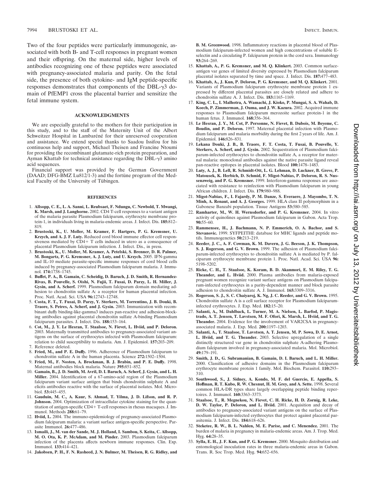Two of the four peptides were particularly immunogenic, associated with both B- and T-cell responses in pregnant women and their offspring. On the maternal side, higher levels of antibodies recognizing one of these peptides were associated with pregnancy-associated malaria and parity. On the fetal side, the presence of both cytokine- and IgM peptide-specific responses demonstrates that components of the DBL- $\gamma$ 3 domain of PfEMP1 cross the placental barrier and sensitize the fetal immune system.

### **ACKNOWLEDGMENTS**

We are especially grateful to the mothers for their participation in this study, and to the staff of the Maternity Unit of the Albert Schweitzer Hospital in Lambaréné for their unreserved cooperation and assistance. We extend special thanks to Saadou Issifou for his continuous help and support, Michael Theisen and Francine Ntoumi for providing the recombinant glutamate-rich protein preparation, and Ayman Khattab for technical assistance regarding the  $DBL-\gamma3$  amino acid sequences.

Financial support was provided by the German Government (DAAD; DFG-BMZ Lu812/1-3) and the fortune program of the Medical Faculty of the University of Tübingen.

#### **REFERENCES**

- 1. **Allsopp, C. E., L. A. Sanni, L. Reubsaet, F. Ndungu, C. Newbold, T. Mwangi, K. Marsh, and J. Langhorne.** 2002. CD4 T-cell responses to a variant antigen of the malaria parasite Plasmodium falciparum, erythrocyte membrane protein-1, in individuals living in malaria-endemic areas. J. Infect. Dis. **185:**812– 819.
- 2. **Brustoski, K., U. Moller, M. Kramer, F. Hartgers, P. G. Kremsner, U. Krzych, and A. J. F. Luty.** Reduced cord blood immune effector cell responsiveness mediated by  $\overrightarrow{CD}4+T$  cells induced in utero as a consequence of placental Plasmodium falciparum infection. J. Infect. Dis., in press.
- 3. **Brustoski, K., U. Moller, M. Kramer, A. Petelski, S. Brenner, D. R. Palmer, M. Bongartz, P. G. Kremsner, A. J. Luty, and U. Krzych.** 2005. IFN-gamma and IL-10 mediate parasite-specific immune responses of cord blood cells induced by pregnancy-associated Plasmodium falciparum malaria. J. Immunol. **174:**1738–1745.
- 4. **Buffet, P. A., B. Gamain, C. Scheidig, D. Baruch, J. D. Smith, R. Hernandez-Rivas, B. Pouvelle, S. Oishi, N. Fujii, T. Fusai, D. Parzy, L. H. Miller, J. Gysin, and A. Scherf.** 1999. Plasmodium falciparum domain mediating adhesion to chondroitin sulfate A: a receptor for human placental infection. Proc. Natl. Acad. Sci. USA **96:**12743–12748.
- 5. **Costa, F. T., T. Fusai, D. Parzy, Y. Sterkers, M. Torrentino, J. B. Douki, B. Traore, S. Petres, A. Scherf, and J. Gysin.** 2003. Immunization with recombinant duffy binding-like-gamma3 induces pan-reactive and adhesion-blocking antibodies against placental chondroitin sulfate A-binding Plasmodium falciparum parasites. J. Infect. Dis. **188:**153–164.
- 6. **Cot, M., J. Y. Le Hesran, T. Staalsoe, N. Fievet, L. Hviid, and P. Deloron.** 2003. Maternally transmitted antibodies to pregnancy-associated variant antigens on the surface of erythrocytes infected with Plasmodium falciparum: relation to child susceptibility to malaria. Am. J. Epidemiol. **157:**203–209. 7. Reference deleted.
- 8. **Fried, M., and P. E. Duffy.** 1996. Adherence of Plasmodium falciparum to chondroitin sulfate A in the human placenta. Science **272:**1502–1504.
- 9. **Fried, M., F. Nosten, A. Brockman, B. J. Brabin, and P. E. Duffy.** 1998. Maternal antibodies block malaria. Nature **395:**851–852.
- 10. **Gamain, B., J. D. Smith, M. Avril, D. I. Baruch, A. Scherf, J. Gysin, and L. H. Miller.** 2004. Identification of a 67-amino-acid region of the Plasmodium falciparum variant surface antigen that binds chondroitin sulphate A and elicits antibodies reactive with the surface of placental isolates. Mol. Microbiol. **53:**445–455.
- 11. **Gauduin, M. C., A. Kaur, S. Ahmad, T. Yilma, J. D. Lifson, and R. P. Johnson.** 2004. Optimization of intracellular cytokine staining for the quantitation of antigen-specific  $CD4+T$ -cell responses in rhesus macaques.  $\hat{J}$ . Immunol. Methods **288:**61–79.
- 12. **Hviid, L.** 2004. The immuno-epidemiology of pregnancy-associated Plasmodium falciparum malaria: a variant surface antigen-specific perspective. Parasite Immunol. **26:**477–486.
- 13. **Ismaili, J., M. van der Sande, M. J. Holland, I. Sambou, S. Keita, C. Allsopp, M. O. Ota, K. P. McAdam, and M. Pinder.** 2003. Plasmodium falciparum infection of the placenta affects newborn immune responses. Clin. Exp. Immunol. **133:**414–421.
- 14. **Jakobsen, P. H., F. N. Rasheed, J. N. Bulmer, M. Theisen, R. G. Ridley, and**

**B. M. Greenwood.** 1998. Inflammatory reactions in placental blood of Plasmodium falciparum-infected women and high concentrations of soluble Eselectin and a circulating P. falciparum protein in the cord sera. Immunology **93:**264–269.

- 15. **Khattab, A., P. G. Kremsner, and M. Q. Klinkert.** 2003. Common surfaceantigen var genes of limited diversity expressed by Plasmodium falciparum placental isolates separated by time and space. J. Infect. Dis. **187:**477–483.
- 16. **Khattab, A., J. Kun, P. Deloron, P. G. Kremsner, and M. Q. Klinkert.** 2001. Variants of Plasmodium falciparum erythrocyte membrane protein 1 expressed by different placental parasites are closely related and adhere to chondroitin sulfate A. J. Infect. Dis. **183:**1165–1169.
- 17. **King, C. L., I. Malhotra, A. Wamachi, J. Kioko, P. Mungai, S. A. Wahab, D. Koech, P. Zimmerman, J. Ouma, and J. W. Kazura.** 2002. Acquired immune responses to Plasmodium falciparum merozoite surface protein-1 in the human fetus. J. Immunol. **168:**356–364.
- 18. **Le Hesran, J. Y., M. Cot, P. Personne, N. Fievet, B. Dubois, M. Beyeme, C. Boudin, and P. Deloron.** 1997. Maternal placental infection with Plasmodium falciparum and malaria morbidity during the first 2 years of life. Am. J. Epidemiol. **146:**826–831.
- 19. **Lekana Douki, J. B., B. Traore, F. T. Costa, T. Fusai, B. Pouvelle, Y. Sterkers, A. Scherf, and J. Gysin.** 2002. Sequestration of Plasmodium falciparum-infected erythrocytes to chondroitin sulfate A, a receptor for maternal malaria: monoclonal antibodies against the native parasite ligand reveal pan-reactive epitopes in placental isolates. Blood **100:**1478–1483.
- 20. **Luty, A. J., B. Lell, R. Schmidt-Ott, L. G. Lehman, D. Luckner, B. Greve, P. Matousek, K. Herbich, D. Schmid, F. Migot-Nabias, P. Deloron, R. S. Nussenzweig, and P. G. Kremsner.** 1999. Interferon-gamma responses are associated with resistance to reinfection with Plasmodium falciparum in young African children. J. Infect. Dis. **179:**980–988.
- 21. **Migot-Nabias, F., I. Fajardy, P. M. Danze, S. Everaere, J. Mayombo, T. N. Minh, A. Renaut, and A. J. Georges.** 1999. HLA class II polymorphism in a Gabonese Banzabi population. Tissue Antigens **53:**580–585.
- 22. **Ramharter, M., W. H. Wernsdorfer, and P. G. Kremsner.** 2004. In vitro activity of quinolines against Plasmodium falciparum in Gabon. Acta Trop. **90:**55–60.
- 23. **Rammensee, H., J. Bachmann, N. P. Emmerich, O. A. Bachor, and S. Stevanovic.** 1999. SYFPEITHI: database for MHC ligands and peptide motifs. Immunogenetics **50:**213–219.
- 24. **Reeder, J. C., A. F. Cowman, K. M. Davern, J. G. Beeson, J. K. Thompson, S. J. Rogerson, and G. V. Brown.** 1999. The adhesion of Plasmodium falciparum-infected erythrocytes to chondroitin sulfate A is mediated by P. falciparum erythrocyte membrane protein 1. Proc. Natl. Acad. Sci. USA **96:** 5198–5202.
- 25. **Ricke, C. H., T. Staalsoe, K. Koram, B. D. Akanmori, E. M. Riley, T. G. Theander, and L. Hviid.** 2000. Plasma antibodies from malaria-exposed pregnant women recognize variant surface antigens on Plasmodium falciparum-infected erythrocytes in a parity-dependent manner and block parasite adhesion to chondroitin sulfate A. J. Immunol. **165:**3309–3316.
- 26. **Rogerson, S. J., S. C. Chaiyaroj, K. Ng, J. C. Reeder, and G. V. Brown.** 1995. Chondroitin sulfate A is a cell surface receptor for Plasmodium falciparuminfected erythrocytes. J. Exp. Med. **182:**15–20.
- 27. **Salanti, A., M. Dahlback, L. Turner, M. A. Nielsen, L. Barfod, P. Magistrado, A. T. Jensen, T. Lavstsen, M. F. Ofori, K. Marsh, L. Hviid, and T. G. Theander.** 2004. Evidence for the involvement of VAR2CSA in pregnancyassociated malaria. J. Exp. Med. **200:**1197–1203.
- 28. **Salanti, A., T. Staalsoe, T. Lavstsen, A. T. Jensen, M. P. Sowa, D. E. Arnot, L. Hviid, and T. G. Theander.** 2003. Selective upregulation of a single distinctly structured var gene in chondroitin sulphate A-adhering Plasmodium falciparum involved in pregnancy-associated malaria. Mol. Microbiol. **49:**179–191.
- 29. **Smith, J. D., G. Subramanian, B. Gamain, D. I. Baruch, and L. H. Miller.** 2000. Classification of adhesive domains in the Plasmodium falciparum erythrocyte membrane protein 1 family. Mol. Biochem. Parasitol. **110:**293– 310.
- 30. **Southwood, S., J. Sidney, A. Kondo, M. F. del Guercio, E. Appella, S. Hoffman, R. T. Kubo, R. W. Chesnut, H. M. Grey, and A. Sette.** 1998. Several common HLA-DR types share largely overlapping peptide binding repertoires. J. Immunol. **160:**3363–3373.
- 31. **Staalsoe, T., R. Megnekou, N. Fievet, C. H. Ricke, H. D. Zornig, R. Leke, D. W. Taylor, P. Deloron, and L. Hviid.** 2001. Acquisition and decay of antibodies to pregnancy-associated variant antigens on the surface of Plasmodium falciparum-infected erythrocytes that protect against placental parasitemia. J. Infect. Dis. **184:**618–626.
- 32. **Steketee, R. W., B. L. Nahlen, M. E. Parise, and C. Menendez.** 2001. The burden of malaria in pregnancy in malaria-endemic areas. Am. J. Trop. Med. Hyg. **64:**28–35.
- 33. **Sylla, E. H., J. F. Kun, and P. G. Kremsner.** 2000. Mosquito distribution and entomological inoculation rates in three malaria-endemic areas in Gabon. Trans. R. Soc Trop. Med. Hyg. **94:**652–656.